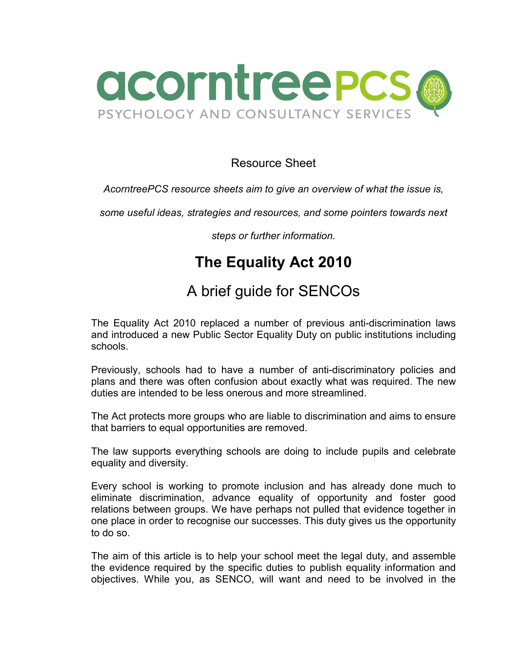

### Resource Sheet

#### *AcorntreePCS resource sheets aim to give an overview of what the issue is,*

*some useful ideas, strategies and resources, and some pointers towards next* 

*steps or further information.*

# **The Equality Act 2010**

# A brief guide for SENCOs

The Equality Act 2010 replaced a number of previous anti-discrimination laws and introduced a new Public Sector Equality Duty on public institutions including schools.

Previously, schools had to have a number of anti-discriminatory policies and plans and there was often confusion about exactly what was required. The new duties are intended to be less onerous and more streamlined.

The Act protects more groups who are liable to discrimination and aims to ensure that barriers to equal opportunities are removed.

The law supports everything schools are doing to include pupils and celebrate equality and diversity.

Every school is working to promote inclusion and has already done much to eliminate discrimination, advance equality of opportunity and foster good relations between groups. We have perhaps not pulled that evidence together in one place in order to recognise our successes. This duty gives us the opportunity to do so.

The aim of this article is to help your school meet the legal duty, and assemble the evidence required by the specific duties to publish equality information and objectives. While you, as SENCO, will want and need to be involved in the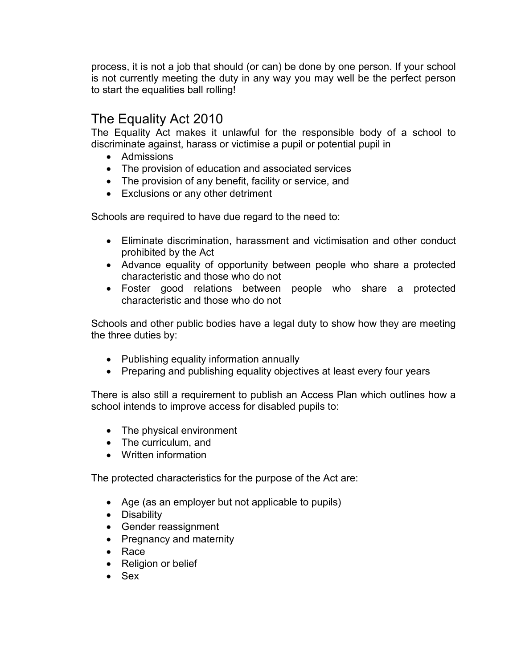process, it is not a job that should (or can) be done by one person. If your school is not currently meeting the duty in any way you may well be the perfect person to start the equalities ball rolling!

## The Equality Act 2010

The Equality Act makes it unlawful for the responsible body of a school to discriminate against, harass or victimise a pupil or potential pupil in

- Admissions
- The provision of education and associated services
- The provision of any benefit, facility or service, and
- Exclusions or any other detriment

Schools are required to have due regard to the need to:

- Eliminate discrimination, harassment and victimisation and other conduct prohibited by the Act
- Advance equality of opportunity between people who share a protected characteristic and those who do not
- Foster good relations between people who share a protected characteristic and those who do not

Schools and other public bodies have a legal duty to show how they are meeting the three duties by:

- Publishing equality information annually
- Preparing and publishing equality objectives at least every four years

There is also still a requirement to publish an Access Plan which outlines how a school intends to improve access for disabled pupils to:

- The physical environment
- The curriculum, and
- Written information

The protected characteristics for the purpose of the Act are:

- Age (as an employer but not applicable to pupils)
- Disability
- Gender reassignment
- Pregnancy and maternity
- Race
- Religion or belief
- Sex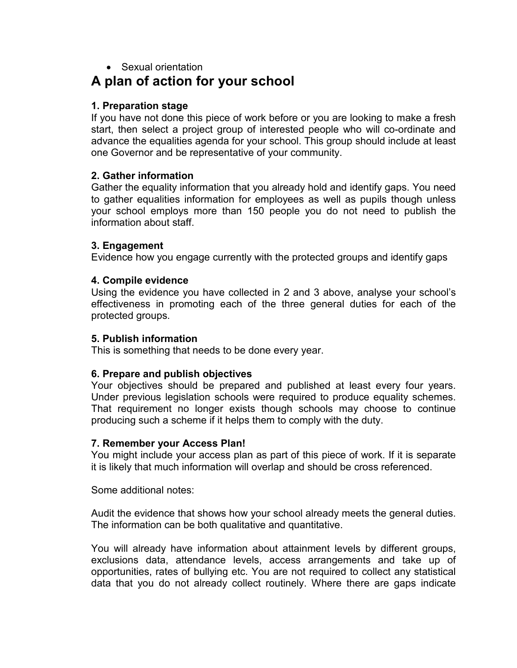### • Sexual orientation

## **A plan of action for your school**

#### **1. Preparation stage**

If you have not done this piece of work before or you are looking to make a fresh start, then select a project group of interested people who will co-ordinate and advance the equalities agenda for your school. This group should include at least one Governor and be representative of your community.

#### **2. Gather information**

Gather the equality information that you already hold and identify gaps. You need to gather equalities information for employees as well as pupils though unless your school employs more than 150 people you do not need to publish the information about staff.

#### **3. Engagement**

Evidence how you engage currently with the protected groups and identify gaps

#### **4. Compile evidence**

Using the evidence you have collected in 2 and 3 above, analyse your school's effectiveness in promoting each of the three general duties for each of the protected groups.

#### **5. Publish information**

This is something that needs to be done every year.

#### **6. Prepare and publish objectives**

Your objectives should be prepared and published at least every four years. Under previous legislation schools were required to produce equality schemes. That requirement no longer exists though schools may choose to continue producing such a scheme if it helps them to comply with the duty.

#### **7. Remember your Access Plan!**

You might include your access plan as part of this piece of work. If it is separate it is likely that much information will overlap and should be cross referenced.

Some additional notes:

Audit the evidence that shows how your school already meets the general duties. The information can be both qualitative and quantitative.

You will already have information about attainment levels by different groups, exclusions data, attendance levels, access arrangements and take up of opportunities, rates of bullying etc. You are not required to collect any statistical data that you do not already collect routinely. Where there are gaps indicate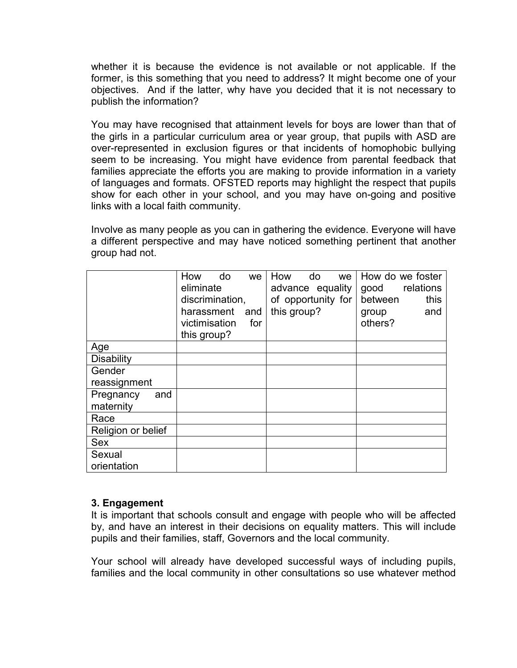whether it is because the evidence is not available or not applicable. If the former, is this something that you need to address? It might become one of your objectives. And if the latter, why have you decided that it is not necessary to publish the information?

You may have recognised that attainment levels for boys are lower than that of the girls in a particular curriculum area or year group, that pupils with ASD are over-represented in exclusion figures or that incidents of homophobic bullying seem to be increasing. You might have evidence from parental feedback that families appreciate the efforts you are making to provide information in a variety of languages and formats. OFSTED reports may highlight the respect that pupils show for each other in your school, and you may have on-going and positive links with a local faith community.

Involve as many people as you can in gathering the evidence. Everyone will have a different perspective and may have noticed something pertinent that another group had not.

|                               | How<br>do<br>eliminate<br>discrimination,<br>harassment<br>victimisation<br>this group? | we.<br>and<br>for | How<br>this group? | do<br>advance equality<br>of opportunity for | we | good<br>between<br>group<br>others? | How do we foster<br>relations<br>this<br>and |
|-------------------------------|-----------------------------------------------------------------------------------------|-------------------|--------------------|----------------------------------------------|----|-------------------------------------|----------------------------------------------|
| Age                           |                                                                                         |                   |                    |                                              |    |                                     |                                              |
| <b>Disability</b>             |                                                                                         |                   |                    |                                              |    |                                     |                                              |
| Gender                        |                                                                                         |                   |                    |                                              |    |                                     |                                              |
| reassignment                  |                                                                                         |                   |                    |                                              |    |                                     |                                              |
| Pregnancy<br>and<br>maternity |                                                                                         |                   |                    |                                              |    |                                     |                                              |
| Race                          |                                                                                         |                   |                    |                                              |    |                                     |                                              |
| Religion or belief            |                                                                                         |                   |                    |                                              |    |                                     |                                              |
| <b>Sex</b>                    |                                                                                         |                   |                    |                                              |    |                                     |                                              |
| Sexual                        |                                                                                         |                   |                    |                                              |    |                                     |                                              |
| orientation                   |                                                                                         |                   |                    |                                              |    |                                     |                                              |

#### **3. Engagement**

It is important that schools consult and engage with people who will be affected by, and have an interest in their decisions on equality matters. This will include pupils and their families, staff, Governors and the local community.

Your school will already have developed successful ways of including pupils, families and the local community in other consultations so use whatever method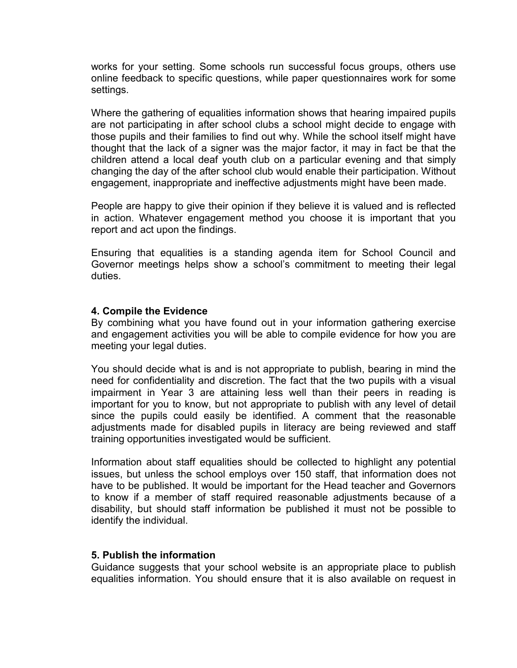works for your setting. Some schools run successful focus groups, others use online feedback to specific questions, while paper questionnaires work for some settings.

Where the gathering of equalities information shows that hearing impaired pupils are not participating in after school clubs a school might decide to engage with those pupils and their families to find out why. While the school itself might have thought that the lack of a signer was the major factor, it may in fact be that the children attend a local deaf youth club on a particular evening and that simply changing the day of the after school club would enable their participation. Without engagement, inappropriate and ineffective adjustments might have been made.

People are happy to give their opinion if they believe it is valued and is reflected in action. Whatever engagement method you choose it is important that you report and act upon the findings.

Ensuring that equalities is a standing agenda item for School Council and Governor meetings helps show a school's commitment to meeting their legal duties.

#### **4. Compile the Evidence**

By combining what you have found out in your information gathering exercise and engagement activities you will be able to compile evidence for how you are meeting your legal duties.

You should decide what is and is not appropriate to publish, bearing in mind the need for confidentiality and discretion. The fact that the two pupils with a visual impairment in Year 3 are attaining less well than their peers in reading is important for you to know, but not appropriate to publish with any level of detail since the pupils could easily be identified. A comment that the reasonable adjustments made for disabled pupils in literacy are being reviewed and staff training opportunities investigated would be sufficient.

Information about staff equalities should be collected to highlight any potential issues, but unless the school employs over 150 staff, that information does not have to be published. It would be important for the Head teacher and Governors to know if a member of staff required reasonable adjustments because of a disability, but should staff information be published it must not be possible to identify the individual.

#### **5. Publish the information**

Guidance suggests that your school website is an appropriate place to publish equalities information. You should ensure that it is also available on request in